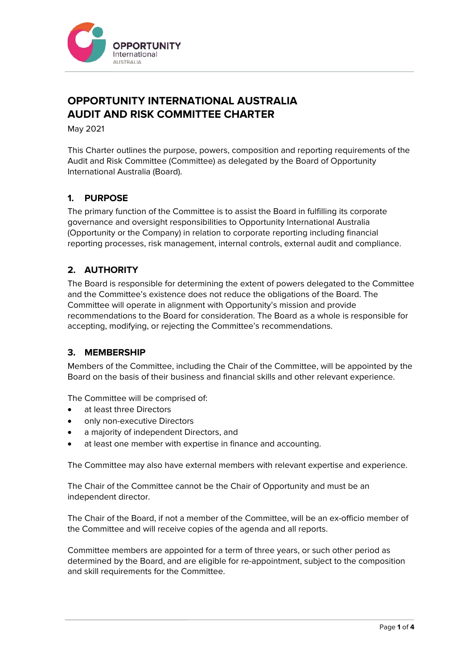

# **OPPORTUNITY INTERNATIONAL AUSTRALIA AUDIT AND RISK COMMITTEE CHARTER**

May 2021

This Charter outlines the purpose, powers, composition and reporting requirements of the Audit and Risk Committee (Committee) as delegated by the Board of Opportunity International Australia (Board).

## **1. PURPOSE**

The primary function of the Committee is to assist the Board in fulfilling its corporate governance and oversight responsibilities to Opportunity International Australia (Opportunity or the Company) in relation to corporate reporting including financial reporting processes, risk management, internal controls, external audit and compliance.

# **2. AUTHORITY**

The Board is responsible for determining the extent of powers delegated to the Committee and the Committee's existence does not reduce the obligations of the Board. The Committee will operate in alignment with Opportunity's mission and provide recommendations to the Board for consideration. The Board as a whole is responsible for accepting, modifying, or rejecting the Committee's recommendations.

## **3. MEMBERSHIP**

Members of the Committee, including the Chair of the Committee, will be appointed by the Board on the basis of their business and financial skills and other relevant experience.

The Committee will be comprised of:

- at least three Directors
- only non-executive Directors
- a majority of independent Directors, and
- at least one member with expertise in finance and accounting.

The Committee may also have external members with relevant expertise and experience.

The Chair of the Committee cannot be the Chair of Opportunity and must be an independent director.

The Chair of the Board, if not a member of the Committee, will be an ex-officio member of the Committee and will receive copies of the agenda and all reports.

Committee members are appointed for a term of three years, or such other period as determined by the Board, and are eligible for re-appointment, subject to the composition and skill requirements for the Committee.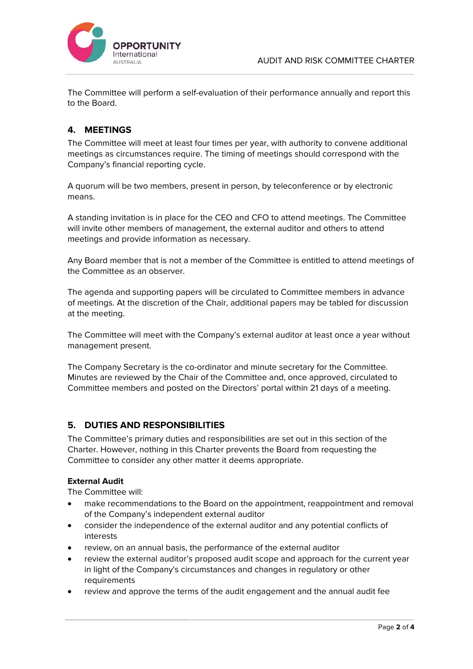



The Committee will perform a self-evaluation of their performance annually and report this to the Board.

# **4. MEETINGS**

The Committee will meet at least four times per year, with authority to convene additional meetings as circumstances require. The timing of meetings should correspond with the Company's financial reporting cycle.

A quorum will be two members, present in person, by teleconference or by electronic means.

A standing invitation is in place for the CEO and CFO to attend meetings. The Committee will invite other members of management, the external auditor and others to attend meetings and provide information as necessary.

Any Board member that is not a member of the Committee is entitled to attend meetings of the Committee as an observer.

The agenda and supporting papers will be circulated to Committee members in advance of meetings. At the discretion of the Chair, additional papers may be tabled for discussion at the meeting.

The Committee will meet with the Company's external auditor at least once a year without management present.

The Company Secretary is the co-ordinator and minute secretary for the Committee. Minutes are reviewed by the Chair of the Committee and, once approved, circulated to Committee members and posted on the Directors' portal within 21 days of a meeting.

# **5. DUTIES AND RESPONSIBILITIES**

The Committee's primary duties and responsibilities are set out in this section of the Charter. However, nothing in this Charter prevents the Board from requesting the Committee to consider any other matter it deems appropriate.

## **External Audit**

The Committee will:

- make recommendations to the Board on the appointment, reappointment and removal of the Company's independent external auditor
- consider the independence of the external auditor and any potential conflicts of interests
- review, on an annual basis, the performance of the external auditor
- review the external auditor's proposed audit scope and approach for the current year in light of the Company's circumstances and changes in regulatory or other requirements
- review and approve the terms of the audit engagement and the annual audit fee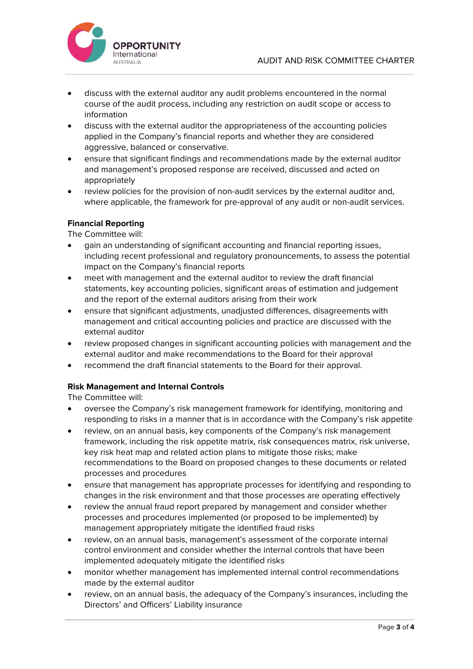

- discuss with the external auditor any audit problems encountered in the normal course of the audit process, including any restriction on audit scope or access to information
- discuss with the external auditor the appropriateness of the accounting policies applied in the Company's financial reports and whether they are considered aggressive, balanced or conservative.
- ensure that significant findings and recommendations made by the external auditor and management's proposed response are received, discussed and acted on appropriately
- review policies for the provision of non-audit services by the external auditor and, where applicable, the framework for pre-approval of any audit or non-audit services.

### **Financial Reporting**

The Committee will:

- gain an understanding of significant accounting and financial reporting issues, including recent professional and regulatory pronouncements, to assess the potential impact on the Company's financial reports
- meet with management and the external auditor to review the draft financial statements, key accounting policies, significant areas of estimation and judgement and the report of the external auditors arising from their work
- ensure that significant adjustments, unadjusted differences, disagreements with management and critical accounting policies and practice are discussed with the external auditor
- review proposed changes in significant accounting policies with management and the external auditor and make recommendations to the Board for their approval
- recommend the draft financial statements to the Board for their approval.

#### **Risk Management and Internal Controls**

The Committee will:

- oversee the Company's risk management framework for identifying, monitoring and responding to risks in a manner that is in accordance with the Company's risk appetite
- review, on an annual basis, key components of the Company's risk management framework, including the risk appetite matrix, risk consequences matrix, risk universe, key risk heat map and related action plans to mitigate those risks; make recommendations to the Board on proposed changes to these documents or related processes and procedures
- ensure that management has appropriate processes for identifying and responding to changes in the risk environment and that those processes are operating effectively
- review the annual fraud report prepared by management and consider whether processes and procedures implemented (or proposed to be implemented) by management appropriately mitigate the identified fraud risks
- review, on an annual basis, management's assessment of the corporate internal control environment and consider whether the internal controls that have been implemented adequately mitigate the identified risks
- monitor whether management has implemented internal control recommendations made by the external auditor
- review, on an annual basis, the adequacy of the Company's insurances, including the Directors' and Officers' Liability insurance